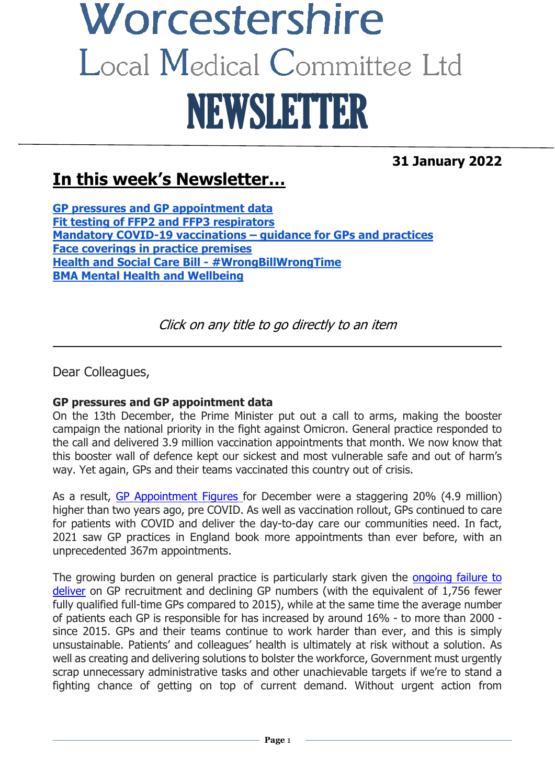# Worcestershire Local Medical Committee Ltd NEWSLETTER

**31 January 2022**

# **In this week's Newsletter…**

**[GP pressures and GP appointment data](#page-0-0) [Fit testing of FFP2 and FFP3 respirators](#page-1-0) [Mandatory COVID-19 vaccinations –](#page-1-1) guidance for GPs and practices [Face coverings in practice premises](#page-2-0) [Health and Social Care Bill -](#page-2-1) #WrongBillWrongTime [BMA Mental Health and Wellbeing](#page-2-2)**

Click on any title to go directly to an item

 $\mathcal{L}_\text{max}$  and  $\mathcal{L}_\text{max}$  and  $\mathcal{L}_\text{max}$  and  $\mathcal{L}_\text{max}$  and  $\mathcal{L}_\text{max}$  and  $\mathcal{L}_\text{max}$ 

Dear Colleagues,

#### <span id="page-0-0"></span>**GP pressures and GP appointment data**

On the 13th December, the Prime Minister put out a call to arms, making the booster campaign the national priority in the fight against Omicron. General practice responded to the call and delivered 3.9 million vaccination appointments that month. We now know that this booster wall of defence kept our sickest and most vulnerable safe and out of harm's way. Yet again, GPs and their teams vaccinated this country out of crisis.

As a result, [GP Appointment Figures](https://digital.nhs.uk/data-and-information/publications/statistical/appointments-in-general-practice) for December were a staggering 20% (4.9 million) higher than two years ago, pre COVID. As well as vaccination rollout, GPs continued to care for patients with COVID and deliver the day-to-day care our communities need. In fact, 2021 saw GP practices in England book more appointments than ever before, with an unprecedented 367m appointments.

The growing burden on general practice is particularly stark given the [ongoing failure to](https://www.bma.org.uk/advice-and-support/nhs-delivery-and-workforce/pressures/pressures-in-general-practice)  [deliver](https://www.bma.org.uk/advice-and-support/nhs-delivery-and-workforce/pressures/pressures-in-general-practice) on GP recruitment and declining GP numbers (with the equivalent of 1,756 fewer fully qualified full-time GPs compared to 2015), while at the same time the average number of patients each GP is responsible for has increased by around 16% - to more than 2000 since 2015. GPs and their teams continue to work harder than ever, and this is simply unsustainable. Patients' and colleagues' health is ultimately at risk without a solution. As well as creating and delivering solutions to bolster the workforce, Government must urgently scrap unnecessary administrative tasks and other unachievable targets if we're to stand a fighting chance of getting on top of current demand. Without urgent action from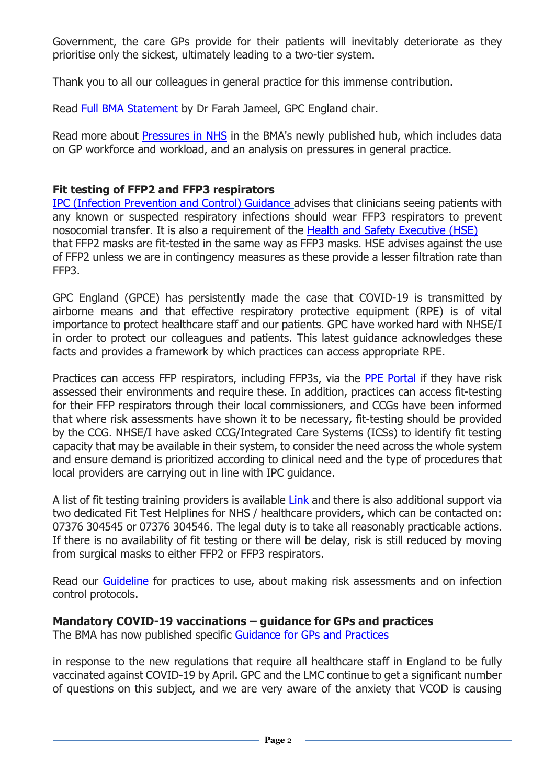Government, the care GPs provide for their patients will inevitably deteriorate as they prioritise only the sickest, ultimately leading to a two-tier system.

Thank you to all our colleagues in general practice for this immense contribution.

Read [Full BMA Statement](https://www.bma.org.uk/bma-media-centre/latest-appointments-data-highlights-immense-backlog-facing-general-practice-says-bma) by Dr Farah Jameel, GPC England chair.

Read more about [Pressures in NHS](https://www.bma.org.uk/advice-and-support/nhs-delivery-and-workforce/pressures/an-nhs-under-pressure) in the BMA's newly published hub, which includes data on GP workforce and workload, and an analysis on pressures in general practice.

#### <span id="page-1-0"></span>**Fit testing of FFP2 and FFP3 respirators**

[IPC \(Infection Prevention and Control\) Guidance](https://www.gov.uk/government/publications/wuhan-novel-coronavirus-infection-prevention-and-control/covid-19-guidance-for-maintaining-services-within-health-and-care-settings-infection-prevention-and-control-recommendations) advises that clinicians seeing patients with any known or suspected respiratory infections should wear FFP3 respirators to prevent nosocomial transfer. It is also a requirement of the [Health and Safety Executive \(HSE\)](https://protect-eu.mimecast.com/s/9nSaCWqVVi5LQj8Txiwwm?domain=eur03.safelinks.protection.outlook.com) that FFP2 masks are fit-tested in the same way as FFP3 masks. HSE advises against the use of FFP2 unless we are in contingency measures as these provide a lesser filtration rate than FFP3.

GPC England (GPCE) has persistently made the case that COVID-19 is transmitted by airborne means and that effective respiratory protective equipment (RPE) is of vital importance to protect healthcare staff and our patients. GPC have worked hard with NHSE/I in order to protect our colleagues and patients. This latest guidance acknowledges these facts and provides a framework by which practices can access appropriate RPE.

Practices can access FFP respirators, including FFP3s, via the [PPE Portal](https://bma-mail.org.uk/t/JVX-7OSSX-JCJOU4-4OA3HQ-1/c.aspx) if they have risk assessed their environments and require these. In addition, practices can access fit-testing for their FFP respirators through their local commissioners, and CCGs have been informed that where risk assessments have shown it to be necessary, fit-testing should be provided by the CCG. NHSE/I have asked CCG/Integrated Care Systems (ICSs) to identify fit testing capacity that may be available in their system, to consider the need across the whole system and ensure demand is prioritized according to clinical need and the type of procedures that local providers are carrying out in line with IPC guidance.

A list of fit testing training providers is available [Link](https://protect-eu.mimecast.com/s/dgL4CY588fLWv3XIVThhy?domain=eur03.safelinks.protection.outlook.com) and there is also additional support via two dedicated Fit Test Helplines for NHS / healthcare providers, which can be contacted on: 07376 304545 or 07376 304546. The legal duty is to take all reasonably practicable actions. If there is no availability of fit testing or there will be delay, risk is still reduced by moving from surgical masks to either FFP2 or FFP3 respirators.

Read our **Guideline** for practices to use, about making risk assessments and on infection control protocols.

#### <span id="page-1-1"></span>**Mandatory COVID-19 vaccinations – guidance for GPs and practices**

The BMA has now published specific [Guidance for GPs and Practices](https://www.bma.org.uk/advice-and-support/covid-19/vaccines/covid-19-mandatory-vaccinations-for-staff-in-gp-practices)

in response to the new regulations that require all healthcare staff in England to be fully vaccinated against COVID-19 by April. GPC and the LMC continue to get a significant number of questions on this subject, and we are very aware of the anxiety that VCOD is causing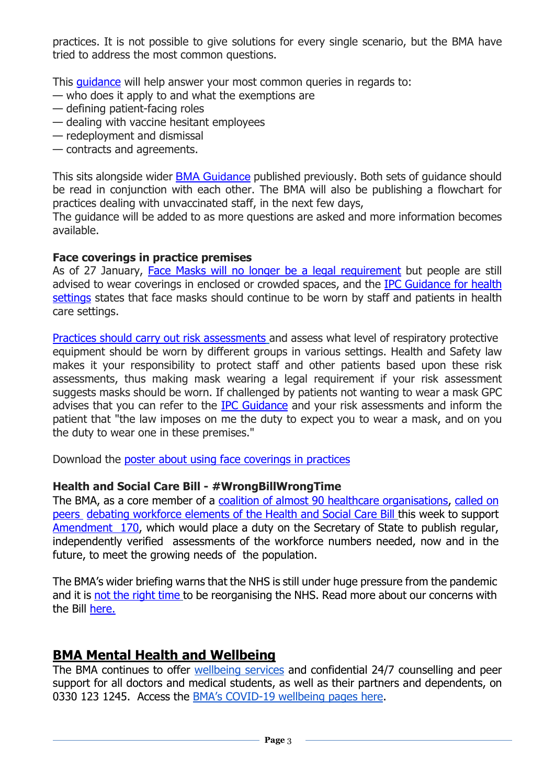practices. It is not possible to give solutions for every single scenario, but the BMA have tried to address the most common questions.

This [guidance](https://bma-mail.org.uk/t/JVX-7PLSC-JCJOU4-4OV85W-1/c.aspx) will help answer your most common queries in regards to:

- who does it apply to and what the exemptions are
- defining patient-facing roles
- dealing with vaccine hesitant employees
- redeployment and dismissal
- contracts and agreements.

This sits alongside wider [BMA Guidance](https://www.bma.org.uk/advice-and-support/covid-19/vaccines/covid-19-mandatory-vaccine-faqs) published previously. Both sets of guidance should be read in conjunction with each other. The BMA will also be publishing a flowchart for practices dealing with unvaccinated staff, in the next few days,

The guidance will be added to as more questions are asked and more information becomes available.

#### <span id="page-2-0"></span>**Face coverings in practice premises**

As of 27 January, [Face Masks will no longer be a legal requirement](https://www.gov.uk/guidance/covid-19-coronavirus-restrictions-what-you-can-and-cannot-do) but people are still advised to wear coverings in enclosed or crowded spaces, and the [IPC Guidance for health](https://www.gov.uk/government/publications/wuhan-novel-coronavirus-infection-prevention-and-control/covid-19-guidance-for-maintaining-services-within-health-and-care-settings-infection-prevention-and-control-recommendations)  [settings](https://www.gov.uk/government/publications/wuhan-novel-coronavirus-infection-prevention-and-control/covid-19-guidance-for-maintaining-services-within-health-and-care-settings-infection-prevention-and-control-recommendations) states that face masks should continue to be worn by staff and patients in health care settings.

[Practices should carry out risk assessments](https://i.emlfiles4.com/cmpdoc/3/7/7/5/2/files/868663_ppe-risk-assessment-final.pdf?utm_source=The%20British%20Medical%20Association&utm_medium=email&utm_campaign=12917145_GP%20ENEWSLETTER%2013012022&dm_t=0,0,0,0,0) and assess what level of respiratory protective equipment should be worn by different groups in various settings. Health and Safety law makes it your responsibility to protect staff and other patients based upon these risk assessments, thus making mask wearing a legal requirement if your risk assessment suggests masks should be worn. If challenged by patients not wanting to wear a mask GPC advises that you can refer to the [IPC Guidance](https://www.gov.uk/government/publications/wuhan-novel-coronavirus-infection-prevention-and-control/covid-19-guidance-for-maintaining-services-within-health-and-care-settings-infection-prevention-and-control-recommendations) and your risk assessments and inform the patient that "the law imposes on me the duty to expect you to wear a mask, and on you the duty to wear one in these premises."

Download the [poster about using face coverings in practices](https://www.bma.org.uk/media/4545/bma-visiting-your-gp-poster-england-sept-2021.pdf)

#### <span id="page-2-1"></span>**Health and Social Care Bill - #WrongBillWrongTime**

The BMA, as a core member of a [coalition of almost 90 healthcare organisations,](https://www.rcp.ac.uk/guidelines-policy/strengthening-workforce-planning-health-and-care-bill-coalition-principles) [called on](https://twitter.com/TheBMA/status/1485624237666746374?cxt=HHwWjICyve_X_50pAAAA)  [peers debating workforce elements of the Health and Social Care Bill](https://twitter.com/TheBMA/status/1485624237666746374?cxt=HHwWjICyve_X_50pAAAA) this week to support [Amendment 170,](https://bills.parliament.uk/bills/3022/stages/15953/amendments/90095) which would place a duty on the Secretary of State to publish regular, independently verified assessments of the workforce numbers needed, now and in the future, to meet the growing needs of the population.

The BMA's wider briefing warns that the NHS is still under huge pressure from the pandemic and it is [not the right time](https://www.bma.org.uk/media/4968/bma-briefing-health-and-care-bill-committee-stage-hol-jan-22.pdf) to be reorganising the NHS. Read more about our concerns with the Bill [here.](https://www.bma.org.uk/advice-and-support/nhs-delivery-and-workforce/integration/the-health-and-care-bill) 

#### <span id="page-2-2"></span>**BMA Mental Health and Wellbeing**

The BMA continues to offer [wellbeing services](https://www.bma.org.uk/advice-and-support/your-wellbeing#wellbeing-support-services) and confidential 24/7 counselling and peer support for all doctors and medical students, as well as their partners and dependents, on 0330 123 1245. Access the [BMA's COVID-19 wellbeing pages here.](https://www.bma.org.uk/advice-and-support/covid-19/your-health/covid-19-your-wellbeing)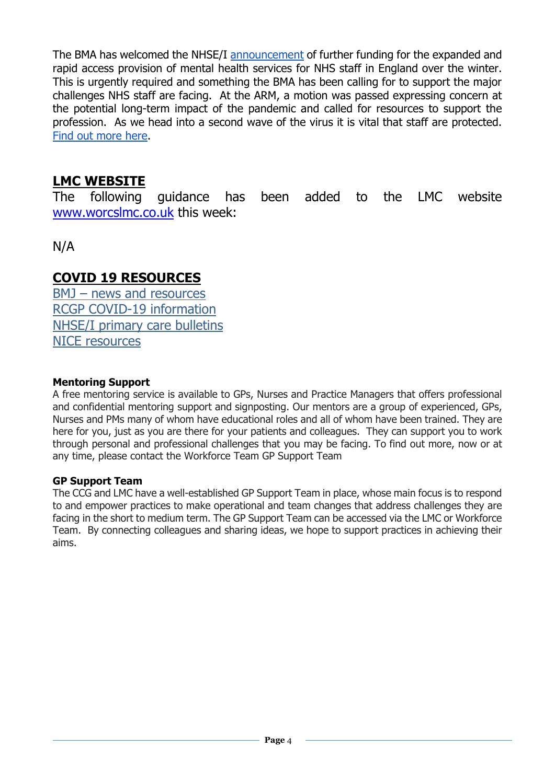The BMA has welcomed the NHSE/I [announcement](https://www.england.nhs.uk/2020/10/strengthening-mental-health-support-for-staff/) of further funding for the expanded and rapid access provision of mental health services for NHS staff in England over the winter. This is urgently required and something the BMA has been calling for to support the major challenges NHS staff are facing. At the ARM, a motion was passed expressing concern at the potential long-term impact of the pandemic and called for resources to support the profession. As we head into a second wave of the virus it is vital that staff are protected. [Find out more here.](https://people.nhs.uk/)

### **LMC WEBSITE**

The following guidance has been added to the LMC website [www.worcslmc.co.uk](http://www.worcslmc.co.uk/) this week:

N/A

#### **COVID 19 RESOURCES**

BMJ – [news and resources](https://www.bmj.com/coronavirus) [RCGP COVID-19 information](https://www.rcgp.org.uk/policy/rcgp-policy-areas/covid-19-coronavirus.aspx) [NHSE/I primary care bulletins](https://www.england.nhs.uk/coronavirus/primary-care/other-resources/primary-care-bulletin/) [NICE resources](https://nhsconfed.us16.list-manage.com/track/click?u=feeeed3bba7c179fd3a7ef554&id=0017c62a07&e=d3deb28f87)

#### **Mentoring Support**

A free mentoring service is available to GPs, Nurses and Practice Managers that offers professional and confidential mentoring support and signposting. Our mentors are a group of experienced, GPs, Nurses and PMs many of whom have educational roles and all of whom have been trained. They are here for you, just as you are there for your patients and colleagues. They can support you to work through personal and professional challenges that you may be facing. To find out more, now or at any time, please contact the Workforce Team GP Support Team

#### **GP Support Team**

The CCG and LMC have a well-established GP Support Team in place, whose main focus is to respond to and empower practices to make operational and team changes that address challenges they are facing in the short to medium term. The GP Support Team can be accessed via the LMC or Workforce Team. By connecting colleagues and sharing ideas, we hope to support practices in achieving their aims.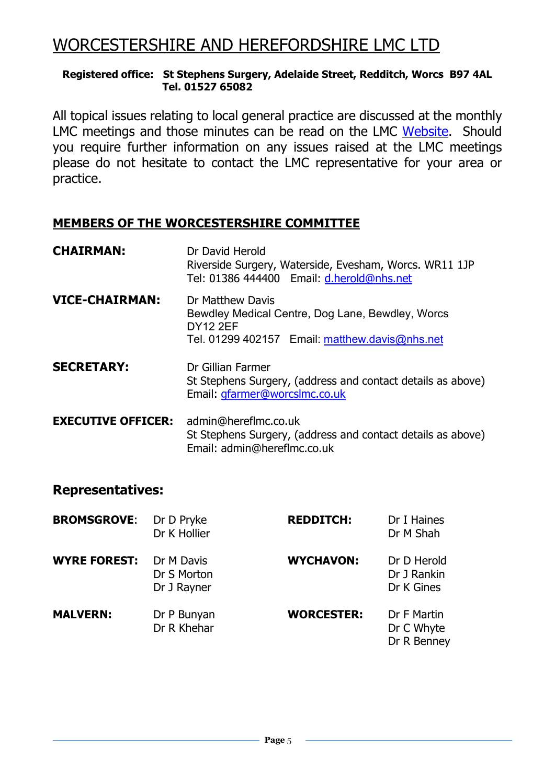## WORCESTERSHIRE AND HEREFORDSHIRE LMC LTD

#### **Registered office: St Stephens Surgery, Adelaide Street, Redditch, Worcs B97 4AL Tel. 01527 65082**

All topical issues relating to local general practice are discussed at the monthly LMC meetings and those minutes can be read on the LMC [Website.](https://www.worcslmc.co.uk/pages/lmc-meetings) Should you require further information on any issues raised at the LMC meetings please do not hesitate to contact the LMC representative for your area or practice.

#### **MEMBERS OF THE WORCESTERSHIRE COMMITTEE**

| <b>CHAIRMAN:</b>          | Dr David Herold<br>Riverside Surgery, Waterside, Evesham, Worcs. WR11 1JP<br>Tel: 01386 444400 Email: d.herold@nhs.net                    |  |
|---------------------------|-------------------------------------------------------------------------------------------------------------------------------------------|--|
| <b>VICE-CHAIRMAN:</b>     | Dr Matthew Davis<br>Bewdley Medical Centre, Dog Lane, Bewdley, Worcs<br><b>DY12 2EF</b><br>Tel. 01299 402157 Email: matthew.davis@nhs.net |  |
| <b>SECRETARY:</b>         | Dr Gillian Farmer<br>St Stephens Surgery, (address and contact details as above)<br>Email: gfarmer@worcslmc.co.uk                         |  |
| <b>EXECUTIVE OFFICER:</b> | admin@hereflmc.co.uk<br>St Stephens Surgery, (address and contact details as above)<br>Email: admin@hereflmc.co.uk                        |  |

#### **Representatives:**

| <b>BROMSGROVE:</b>  | Dr D Pryke<br>Dr K Hollier               | <b>REDDITCH:</b>  | Dr I Haines<br>Dr M Shah                 |
|---------------------|------------------------------------------|-------------------|------------------------------------------|
| <b>WYRE FOREST:</b> | Dr M Davis<br>Dr S Morton<br>Dr J Rayner | <b>WYCHAVON:</b>  | Dr D Herold<br>Dr J Rankin<br>Dr K Gines |
| <b>MALVERN:</b>     | Dr P Bunyan<br>Dr R Khehar               | <b>WORCESTER:</b> | Dr F Martin<br>Dr C Whyte<br>Dr R Benney |